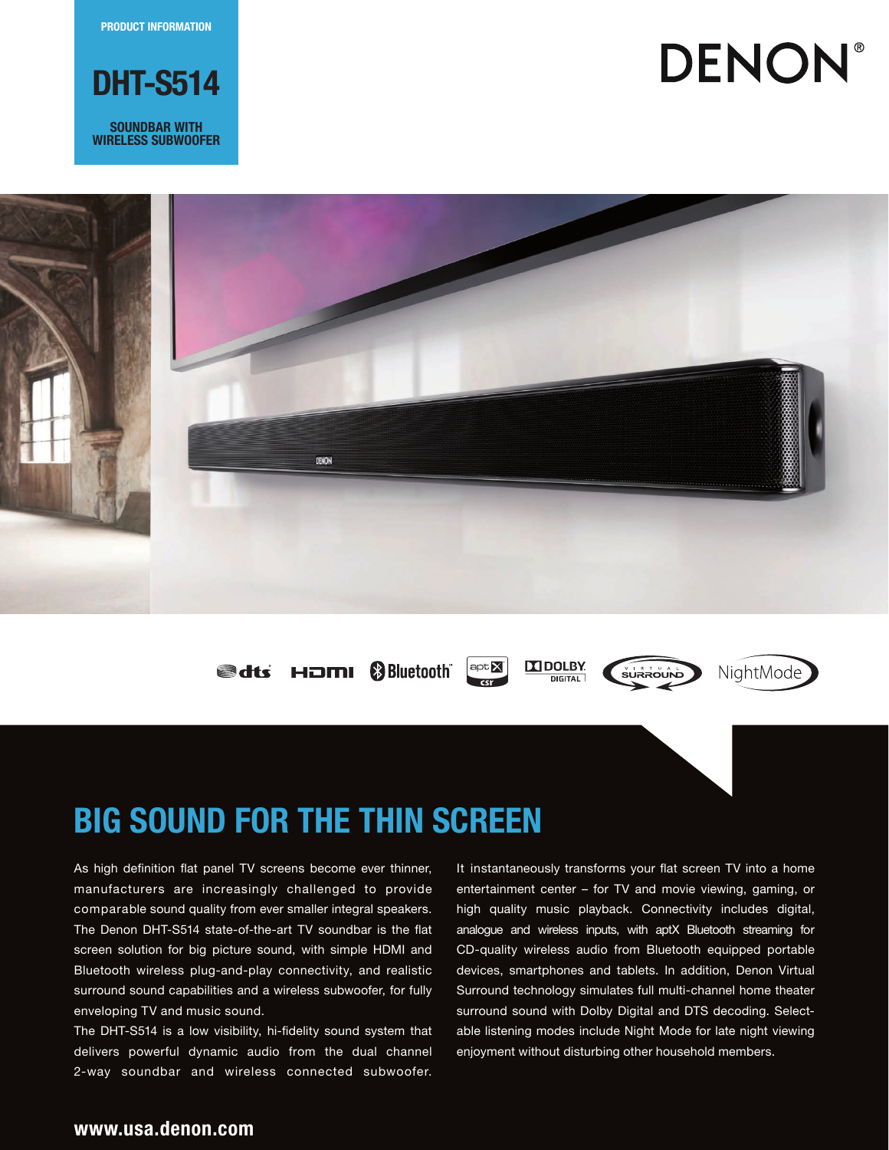PRODUCT INFORMATION



**SOUNDBAR WITH** wireless Subwoofer

# **DENON®**



**edts HDMI & Bluetooth** 

**N** DOLBY  $apt X$  $c<sub>cr</sub>$ 

**DIGITAL** 





# Big Sound for the Thin Screen

As high definition flat panel TV screens become ever thinner, manufacturers are increasingly challenged to provide comparable sound quality from ever smaller integral speakers. The Denon DHT-S514 state-of-the-art TV soundbar is the flat screen solution for big picture sound, with simple HDMI and Bluetooth wireless plug-and-play connectivity, and realistic surround sound capabilities and a wireless subwoofer, for fully enveloping TV and music sound.

The DHT-S514 is a low visibility, hi-fidelity sound system that delivers powerful dynamic audio from the dual channel 2-way soundbar and wireless connected subwoofer.

It instantaneously transforms your flat screen TV into a home entertainment center – for TV and movie viewing, gaming, or high quality music playback. Connectivity includes digital, analogue and wireless inputs, with aptX Bluetooth streaming for CD-quality wireless audio from Bluetooth equipped portable devices, smartphones and tablets. In addition, Denon Virtual Surround technology simulates full multi-channel home theater surround sound with Dolby Digital and DTS decoding. Selectable listening modes include Night Mode for late night viewing enjoyment without disturbing other household members.